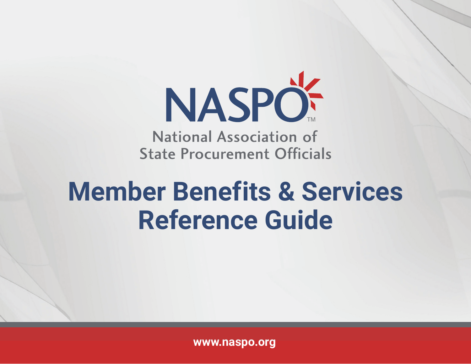

National Association of **State Procurement Officials** 

# **Member Benefits & Services Reference Guide**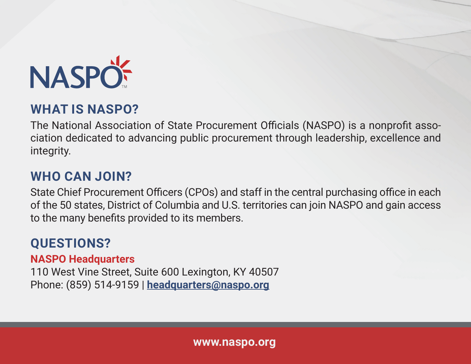

#### **WHAT IS NASPO?**

The National Association of State Procurement Officials (NASPO) is a nonprofit association dedicated to advancing public procurement through leadership, excellence and integrity.

### **WHO CAN JOIN?**

State Chief Procurement Officers (CPOs) and staff in the central purchasing office in each of the 50 states, District of Columbia and U.S. territories can join NASPO and gain access to the many benefits provided to its members.

### **QUESTIONS?**

**NASPO Headquarters**

110 West Vine Street, Suite 600 Lexington, KY 40507 Phone: (859) 514-9159 | **headquarters@naspo.org**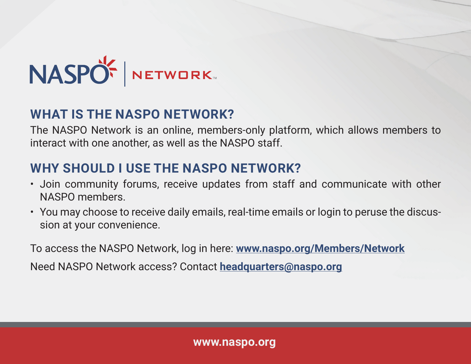

### **WHAT IS THE NASPO NETWORK?**

The NASPO Network is an online, members-only platform, which allows members to interact with one another, as well as the NASPO staff.

### **WHY SHOULD I USE THE NASPO NETWORK?**

- Join community forums, receive updates from staff and communicate with other NASPO members.
- You may choose to receive daily emails, real-time emails or login to peruse the discussion at your convenience.

To access the NASPO Network, log in here: **www.naspo.org/Members/Network** Need NASPO Network access? Contact **headquarters@naspo.org**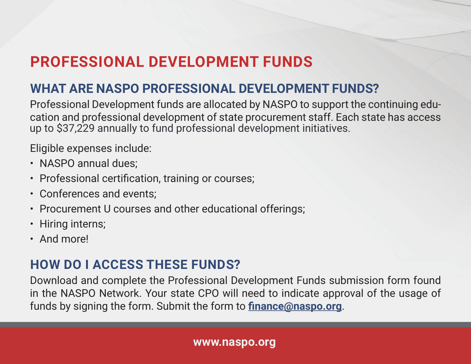## **PROFESSIONAL DEVELOPMENT FUNDS**

### **WHAT ARE NASPO PROFESSIONAL DEVELOPMENT FUNDS?**

Professional Development funds are allocated by NASPO to support the continuing education and professional development of state procurement staff. Each state has access up to \$37,229 annually to fund professional development initiatives.

Eligible expenses include:

- NASPO annual dues;
- Professional certification, training or courses;
- Conferences and events;
- Procurement U courses and other educational offerings;
- Hiring interns;
- And more!

#### **HOW DO I ACCESS THESE FUNDS?**

Download and complete the Professional Development Funds submission form found in the NASPO Network. Your state CPO will need to indicate approval of the usage of funds by signing the form. Submit the form to **finance@naspo.org**.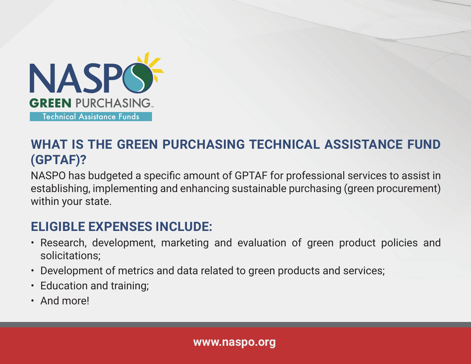

### **WHAT IS THE GREEN PURCHASING TECHNICAL ASSISTANCE FUND (GPTAF)?**

NASPO has budgeted a specific amount of GPTAF for professional services to assist in establishing, implementing and enhancing sustainable purchasing (green procurement) within your state.

### **ELIGIBLE EXPENSES INCLUDE:**

- Research, development, marketing and evaluation of green product policies and solicitations;
- Development of metrics and data related to green products and services;
- Education and training;
- And more!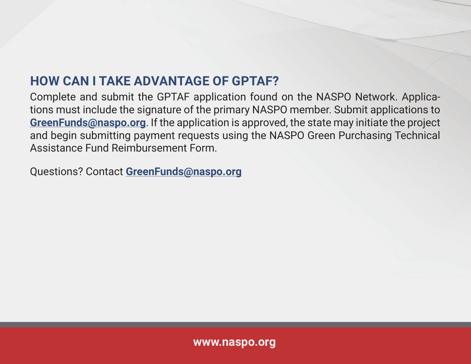### **HOW CAN I TAKE ADVANTAGE OF GPTAF?**

Complete and submit the GPTAF application found on the NASPO Network. Applications must include the signature of the primary NASPO member. Submit applications to **GreenFunds@naspo.org**. If the application is approved, the state may initiate the project and begin submitting payment requests using the NASPO Green Purchasing Technical Assistance Fund Reimbursement Form.

Questions? Contact **GreenFunds@naspo.org**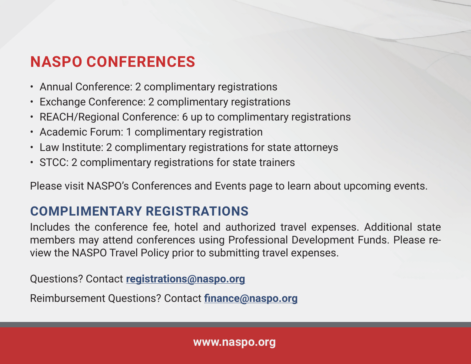### **NASPO CONFERENCES**

- Annual Conference: 2 complimentary registrations
- Exchange Conference: 2 complimentary registrations
- REACH/Regional Conference: 6 up to complimentary registrations
- Academic Forum: 1 complimentary registration
- Law Institute: 2 complimentary registrations for state attorneys
- STCC: 2 complimentary registrations for state trainers

Please visit NASPO's Conferences and Events page to learn about upcoming events.

### **COMPLIMENTARY REGISTRATIONS**

Includes the conference fee, hotel and authorized travel expenses. Additional state members may attend conferences using Professional Development Funds. Please review the NASPO Travel Policy prior to submitting travel expenses.

Questions? Contact **registrations@naspo.org**

Reimbursement Questions? Contact **finance@naspo.org**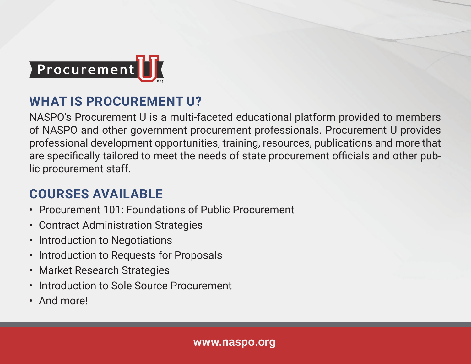

### **WHAT IS PROCUREMENT U?**

NASPO's Procurement U is a multi-faceted educational platform provided to members of NASPO and other government procurement professionals. Procurement U provides professional development opportunities, training, resources, publications and more that are specifically tailored to meet the needs of state procurement officials and other public procurement staff.

### **COURSES AVAILABLE**

- Procurement 101: Foundations of Public Procurement
- Contract Administration Strategies
- Introduction to Negotiations
- Introduction to Requests for Proposals
- Market Research Strategies
- Introduction to Sole Source Procurement
- And more!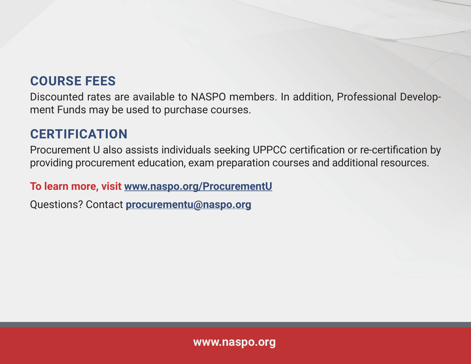### **COURSE FEES**

Discounted rates are available to NASPO members. In addition, Professional Development Funds may be used to purchase courses.

### **CERTIFICATION**

Procurement U also assists individuals seeking UPPCC certification or re-certification by providing procurement education, exam preparation courses and additional resources.

#### **To learn more, visit www.naspo.org/ProcurementU**

Questions? Contact **procurementu@naspo.org**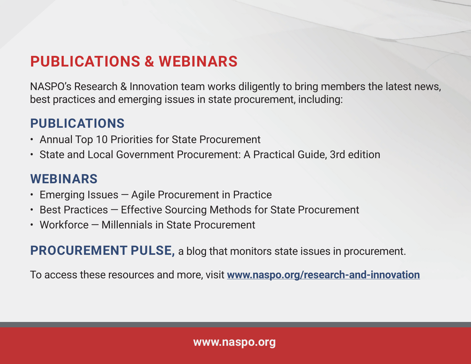### **PUBLICATIONS & WEBINARS**

NASPO's Research & Innovation team works diligently to bring members the latest news, best practices and emerging issues in state procurement, including:

### **PUBLICATIONS**

- Annual Top 10 Priorities for State Procurement
- State and Local Government Procurement: A Practical Guide, 3rd edition

### **WEBINARS**

- Emerging Issues — Agile Procurement in Practice
- Best Practices Effective Sourcing Methods for State Procurement
- Workforce — Millennials in State Procurement

**PROCUREMENT PULSE,** a blog that monitors state issues in procurement.

To access these resources and more, visit **www.naspo.org/research-and-innovation**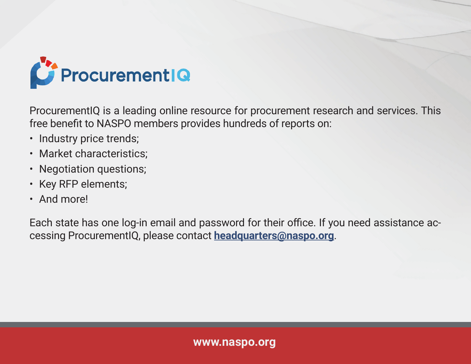

ProcurementIQ is a leading online resource for procurement research and services. This free benefit to NASPO members provides hundreds of reports on:

- Industry price trends;
- Market characteristics;
- Negotiation questions;
- Key RFP elements;
- And more!

Each state has one log-in email and password for their office. If you need assistance accessing ProcurementIQ, please contact **headquarters@naspo.org**.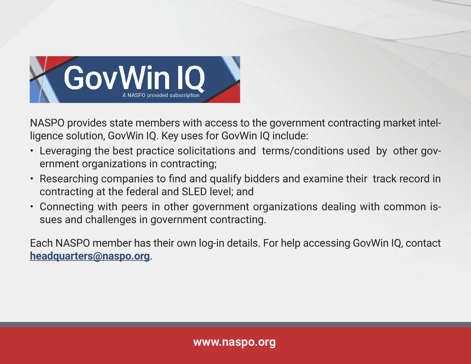

NASPO provides state members with access to the government contracting market intelligence solution, GovWin IQ. Key uses for GovWin IQ include:

- Leveraging the best practice solicitations and terms/conditions used by other government organizations in contracting;
- Researching companies to find and qualify bidders and examine their track record in contracting at the federal and SLED level; and
- Connecting with peers in other government organizations dealing with common issues and challenges in government contracting.

Each NASPO member has their own log-in details. For help accessing GovWin IQ, contact **headquarters@naspo.org**.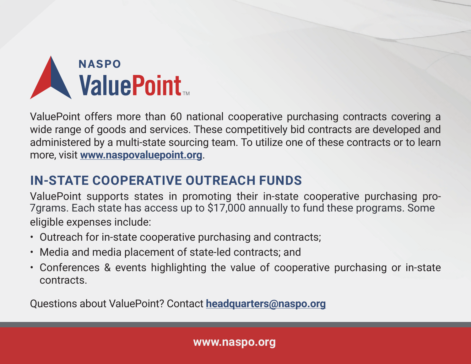

ValuePoint offers more than 60 national cooperative purchasing contracts covering a wide range of goods and services. These competitively bid contracts are developed and administered by a multi-state sourcing team. To utilize one of these contracts or to learn more, visit **www.naspovaluepoint.org**.

### **IN-STATE COOPERATIVE OUTREACH FUNDS**

ValuePoint supports states in promoting their in-state cooperative purchasing proeligible expenses include: 7grams. Each state has access up to \$17,000 annually to fund these programs. Some

- Outreach for in-state cooperative purchasing and contracts;
- Media and media placement of state-led contracts; and
- Conferences & events highlighting the value of cooperative purchasing or in-state contracts.

Questions about ValuePoint? Contact **headquarters@naspo.org**